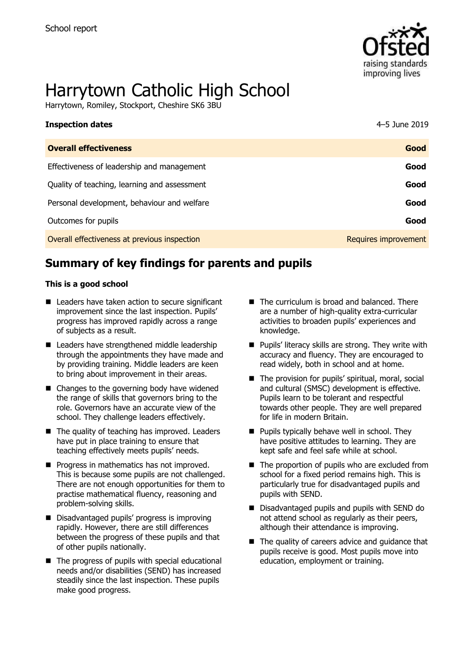

# Harrytown Catholic High School

Harrytown, Romiley, Stockport, Cheshire SK6 3BU

| <b>Inspection dates</b>                      | 4–5 June 2019        |
|----------------------------------------------|----------------------|
| <b>Overall effectiveness</b>                 | Good                 |
| Effectiveness of leadership and management   | Good                 |
| Quality of teaching, learning and assessment | Good                 |
| Personal development, behaviour and welfare  | Good                 |
| Outcomes for pupils                          | Good                 |
| Overall effectiveness at previous inspection | Requires improvement |

# **Summary of key findings for parents and pupils**

#### **This is a good school**

- Leaders have taken action to secure significant improvement since the last inspection. Pupils' progress has improved rapidly across a range of subjects as a result.
- Leaders have strengthened middle leadership through the appointments they have made and by providing training. Middle leaders are keen to bring about improvement in their areas.
- Changes to the governing body have widened the range of skills that governors bring to the role. Governors have an accurate view of the school. They challenge leaders effectively.
- $\blacksquare$  The quality of teaching has improved. Leaders have put in place training to ensure that teaching effectively meets pupils' needs.
- **Progress in mathematics has not improved.** This is because some pupils are not challenged. There are not enough opportunities for them to practise mathematical fluency, reasoning and problem-solving skills.
- Disadvantaged pupils' progress is improving rapidly. However, there are still differences between the progress of these pupils and that of other pupils nationally.
- $\blacksquare$  The progress of pupils with special educational needs and/or disabilities (SEND) has increased steadily since the last inspection. These pupils make good progress.
- The curriculum is broad and balanced. There are a number of high-quality extra-curricular activities to broaden pupils' experiences and knowledge.
- **Pupils' literacy skills are strong. They write with** accuracy and fluency. They are encouraged to read widely, both in school and at home.
- The provision for pupils' spiritual, moral, social and cultural (SMSC) development is effective. Pupils learn to be tolerant and respectful towards other people. They are well prepared for life in modern Britain.
- $\blacksquare$  Pupils typically behave well in school. They have positive attitudes to learning. They are kept safe and feel safe while at school.
- $\blacksquare$  The proportion of pupils who are excluded from school for a fixed period remains high. This is particularly true for disadvantaged pupils and pupils with SEND.
- Disadvantaged pupils and pupils with SEND do not attend school as regularly as their peers, although their attendance is improving.
- $\blacksquare$  The quality of careers advice and quidance that pupils receive is good. Most pupils move into education, employment or training.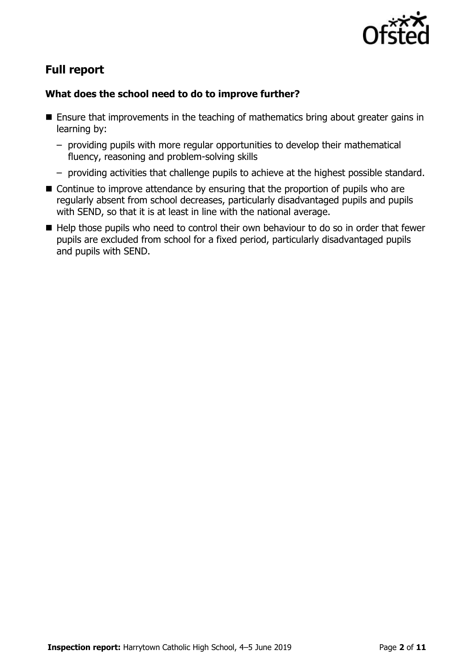

# **Full report**

### **What does the school need to do to improve further?**

- Ensure that improvements in the teaching of mathematics bring about greater gains in learning by:
	- providing pupils with more regular opportunities to develop their mathematical fluency, reasoning and problem-solving skills
	- providing activities that challenge pupils to achieve at the highest possible standard.
- Continue to improve attendance by ensuring that the proportion of pupils who are regularly absent from school decreases, particularly disadvantaged pupils and pupils with SEND, so that it is at least in line with the national average.
- Help those pupils who need to control their own behaviour to do so in order that fewer pupils are excluded from school for a fixed period, particularly disadvantaged pupils and pupils with SEND.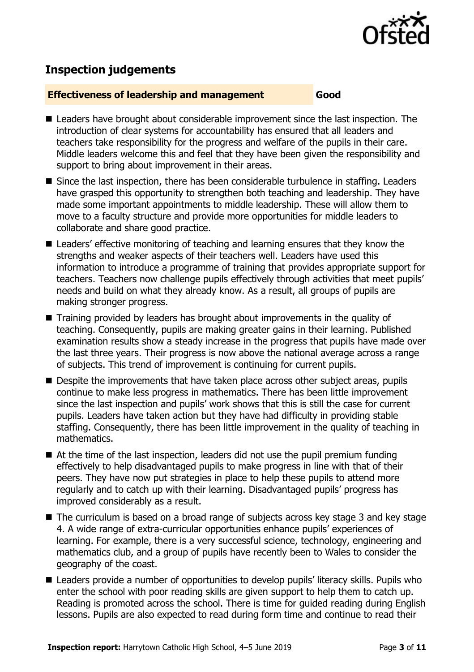

# **Inspection judgements**

#### **Effectiveness of leadership and management Good**

- Leaders have brought about considerable improvement since the last inspection. The introduction of clear systems for accountability has ensured that all leaders and teachers take responsibility for the progress and welfare of the pupils in their care. Middle leaders welcome this and feel that they have been given the responsibility and support to bring about improvement in their areas.
- Since the last inspection, there has been considerable turbulence in staffing. Leaders have grasped this opportunity to strengthen both teaching and leadership. They have made some important appointments to middle leadership. These will allow them to move to a faculty structure and provide more opportunities for middle leaders to collaborate and share good practice.
- Leaders' effective monitoring of teaching and learning ensures that they know the strengths and weaker aspects of their teachers well. Leaders have used this information to introduce a programme of training that provides appropriate support for teachers. Teachers now challenge pupils effectively through activities that meet pupils' needs and build on what they already know. As a result, all groups of pupils are making stronger progress.
- Training provided by leaders has brought about improvements in the quality of teaching. Consequently, pupils are making greater gains in their learning. Published examination results show a steady increase in the progress that pupils have made over the last three years. Their progress is now above the national average across a range of subjects. This trend of improvement is continuing for current pupils.
- Despite the improvements that have taken place across other subject areas, pupils continue to make less progress in mathematics. There has been little improvement since the last inspection and pupils' work shows that this is still the case for current pupils. Leaders have taken action but they have had difficulty in providing stable staffing. Consequently, there has been little improvement in the quality of teaching in mathematics.
- $\blacksquare$  At the time of the last inspection, leaders did not use the pupil premium funding effectively to help disadvantaged pupils to make progress in line with that of their peers. They have now put strategies in place to help these pupils to attend more regularly and to catch up with their learning. Disadvantaged pupils' progress has improved considerably as a result.
- The curriculum is based on a broad range of subjects across key stage 3 and key stage 4. A wide range of extra-curricular opportunities enhance pupils' experiences of learning. For example, there is a very successful science, technology, engineering and mathematics club, and a group of pupils have recently been to Wales to consider the geography of the coast.
- Leaders provide a number of opportunities to develop pupils' literacy skills. Pupils who enter the school with poor reading skills are given support to help them to catch up. Reading is promoted across the school. There is time for guided reading during English lessons. Pupils are also expected to read during form time and continue to read their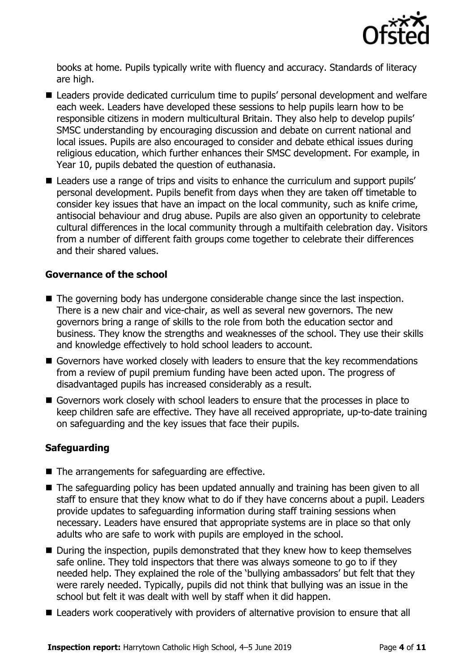

books at home. Pupils typically write with fluency and accuracy. Standards of literacy are high.

- Leaders provide dedicated curriculum time to pupils' personal development and welfare each week. Leaders have developed these sessions to help pupils learn how to be responsible citizens in modern multicultural Britain. They also help to develop pupils' SMSC understanding by encouraging discussion and debate on current national and local issues. Pupils are also encouraged to consider and debate ethical issues during religious education, which further enhances their SMSC development. For example, in Year 10, pupils debated the question of euthanasia.
- Leaders use a range of trips and visits to enhance the curriculum and support pupils' personal development. Pupils benefit from days when they are taken off timetable to consider key issues that have an impact on the local community, such as knife crime, antisocial behaviour and drug abuse. Pupils are also given an opportunity to celebrate cultural differences in the local community through a multifaith celebration day. Visitors from a number of different faith groups come together to celebrate their differences and their shared values.

#### **Governance of the school**

- The governing body has undergone considerable change since the last inspection. There is a new chair and vice-chair, as well as several new governors. The new governors bring a range of skills to the role from both the education sector and business. They know the strengths and weaknesses of the school. They use their skills and knowledge effectively to hold school leaders to account.
- Governors have worked closely with leaders to ensure that the key recommendations from a review of pupil premium funding have been acted upon. The progress of disadvantaged pupils has increased considerably as a result.
- Governors work closely with school leaders to ensure that the processes in place to keep children safe are effective. They have all received appropriate, up-to-date training on safeguarding and the key issues that face their pupils.

#### **Safeguarding**

- The arrangements for safeguarding are effective.
- The safeguarding policy has been updated annually and training has been given to all staff to ensure that they know what to do if they have concerns about a pupil. Leaders provide updates to safeguarding information during staff training sessions when necessary. Leaders have ensured that appropriate systems are in place so that only adults who are safe to work with pupils are employed in the school.
- During the inspection, pupils demonstrated that they knew how to keep themselves safe online. They told inspectors that there was always someone to go to if they needed help. They explained the role of the 'bullying ambassadors' but felt that they were rarely needed. Typically, pupils did not think that bullying was an issue in the school but felt it was dealt with well by staff when it did happen.
- Leaders work cooperatively with providers of alternative provision to ensure that all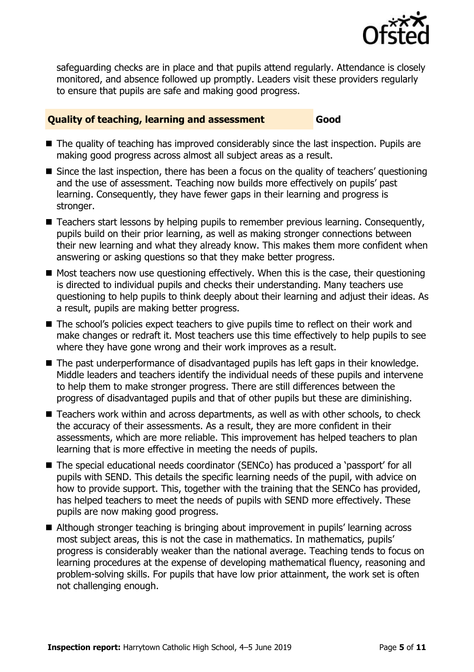

safeguarding checks are in place and that pupils attend regularly. Attendance is closely monitored, and absence followed up promptly. Leaders visit these providers regularly to ensure that pupils are safe and making good progress.

#### **Quality of teaching, learning and assessment Good**

- The quality of teaching has improved considerably since the last inspection. Pupils are making good progress across almost all subject areas as a result.
- Since the last inspection, there has been a focus on the quality of teachers' questioning and the use of assessment. Teaching now builds more effectively on pupils' past learning. Consequently, they have fewer gaps in their learning and progress is stronger.
- Teachers start lessons by helping pupils to remember previous learning. Consequently, pupils build on their prior learning, as well as making stronger connections between their new learning and what they already know. This makes them more confident when answering or asking questions so that they make better progress.
- $\blacksquare$  Most teachers now use questioning effectively. When this is the case, their questioning is directed to individual pupils and checks their understanding. Many teachers use questioning to help pupils to think deeply about their learning and adjust their ideas. As a result, pupils are making better progress.
- The school's policies expect teachers to give pupils time to reflect on their work and make changes or redraft it. Most teachers use this time effectively to help pupils to see where they have gone wrong and their work improves as a result.
- The past underperformance of disadvantaged pupils has left gaps in their knowledge. Middle leaders and teachers identify the individual needs of these pupils and intervene to help them to make stronger progress. There are still differences between the progress of disadvantaged pupils and that of other pupils but these are diminishing.
- Teachers work within and across departments, as well as with other schools, to check the accuracy of their assessments. As a result, they are more confident in their assessments, which are more reliable. This improvement has helped teachers to plan learning that is more effective in meeting the needs of pupils.
- The special educational needs coordinator (SENCo) has produced a 'passport' for all pupils with SEND. This details the specific learning needs of the pupil, with advice on how to provide support. This, together with the training that the SENCo has provided, has helped teachers to meet the needs of pupils with SEND more effectively. These pupils are now making good progress.
- Although stronger teaching is bringing about improvement in pupils' learning across most subject areas, this is not the case in mathematics. In mathematics, pupils' progress is considerably weaker than the national average. Teaching tends to focus on learning procedures at the expense of developing mathematical fluency, reasoning and problem-solving skills. For pupils that have low prior attainment, the work set is often not challenging enough.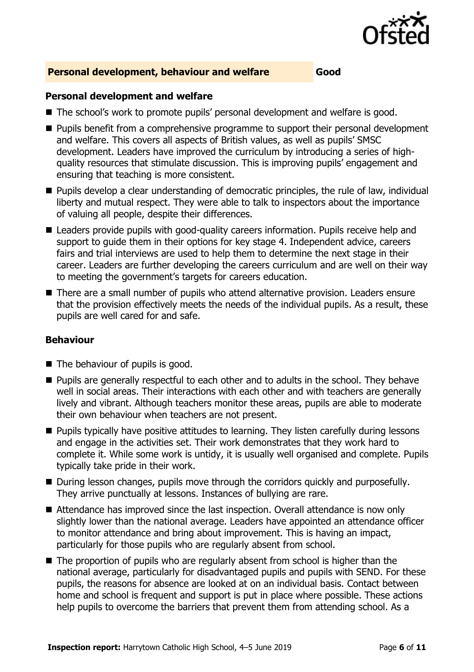

#### **Personal development, behaviour and welfare Good**

#### **Personal development and welfare**

- The school's work to promote pupils' personal development and welfare is good.
- **Pupils benefit from a comprehensive programme to support their personal development** and welfare. This covers all aspects of British values, as well as pupils' SMSC development. Leaders have improved the curriculum by introducing a series of highquality resources that stimulate discussion. This is improving pupils' engagement and ensuring that teaching is more consistent.
- **Pupils develop a clear understanding of democratic principles, the rule of law, individual** liberty and mutual respect. They were able to talk to inspectors about the importance of valuing all people, despite their differences.
- Leaders provide pupils with good-quality careers information. Pupils receive help and support to guide them in their options for key stage 4. Independent advice, careers fairs and trial interviews are used to help them to determine the next stage in their career. Leaders are further developing the careers curriculum and are well on their way to meeting the government's targets for careers education.
- There are a small number of pupils who attend alternative provision. Leaders ensure that the provision effectively meets the needs of the individual pupils. As a result, these pupils are well cared for and safe.

#### **Behaviour**

- The behaviour of pupils is good.
- **Pupils are generally respectful to each other and to adults in the school. They behave** well in social areas. Their interactions with each other and with teachers are generally lively and vibrant. Although teachers monitor these areas, pupils are able to moderate their own behaviour when teachers are not present.
- **Pupils typically have positive attitudes to learning. They listen carefully during lessons** and engage in the activities set. Their work demonstrates that they work hard to complete it. While some work is untidy, it is usually well organised and complete. Pupils typically take pride in their work.
- During lesson changes, pupils move through the corridors quickly and purposefully. They arrive punctually at lessons. Instances of bullying are rare.
- Attendance has improved since the last inspection. Overall attendance is now only slightly lower than the national average. Leaders have appointed an attendance officer to monitor attendance and bring about improvement. This is having an impact, particularly for those pupils who are regularly absent from school.
- The proportion of pupils who are regularly absent from school is higher than the national average, particularly for disadvantaged pupils and pupils with SEND. For these pupils, the reasons for absence are looked at on an individual basis. Contact between home and school is frequent and support is put in place where possible. These actions help pupils to overcome the barriers that prevent them from attending school. As a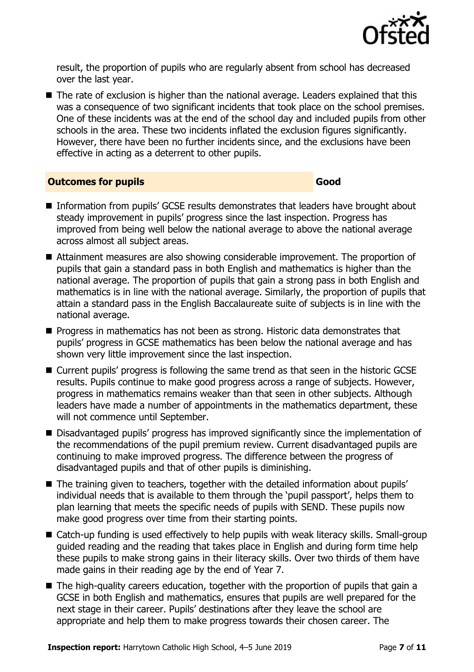

result, the proportion of pupils who are regularly absent from school has decreased over the last year.

The rate of exclusion is higher than the national average. Leaders explained that this was a consequence of two significant incidents that took place on the school premises. One of these incidents was at the end of the school day and included pupils from other schools in the area. These two incidents inflated the exclusion figures significantly. However, there have been no further incidents since, and the exclusions have been effective in acting as a deterrent to other pupils.

#### **Outcomes for pupils Good**

- Information from pupils' GCSE results demonstrates that leaders have brought about steady improvement in pupils' progress since the last inspection. Progress has improved from being well below the national average to above the national average across almost all subject areas.
- Attainment measures are also showing considerable improvement. The proportion of pupils that gain a standard pass in both English and mathematics is higher than the national average. The proportion of pupils that gain a strong pass in both English and mathematics is in line with the national average. Similarly, the proportion of pupils that attain a standard pass in the English Baccalaureate suite of subjects is in line with the national average.
- $\blacksquare$  Progress in mathematics has not been as strong. Historic data demonstrates that pupils' progress in GCSE mathematics has been below the national average and has shown very little improvement since the last inspection.
- Current pupils' progress is following the same trend as that seen in the historic GCSE results. Pupils continue to make good progress across a range of subjects. However, progress in mathematics remains weaker than that seen in other subjects. Although leaders have made a number of appointments in the mathematics department, these will not commence until September.
- Disadvantaged pupils' progress has improved significantly since the implementation of the recommendations of the pupil premium review. Current disadvantaged pupils are continuing to make improved progress. The difference between the progress of disadvantaged pupils and that of other pupils is diminishing.
- The training given to teachers, together with the detailed information about pupils' individual needs that is available to them through the 'pupil passport', helps them to plan learning that meets the specific needs of pupils with SEND. These pupils now make good progress over time from their starting points.
- Catch-up funding is used effectively to help pupils with weak literacy skills. Small-group guided reading and the reading that takes place in English and during form time help these pupils to make strong gains in their literacy skills. Over two thirds of them have made gains in their reading age by the end of Year 7.
- $\blacksquare$  The high-quality careers education, together with the proportion of pupils that gain a GCSE in both English and mathematics, ensures that pupils are well prepared for the next stage in their career. Pupils' destinations after they leave the school are appropriate and help them to make progress towards their chosen career. The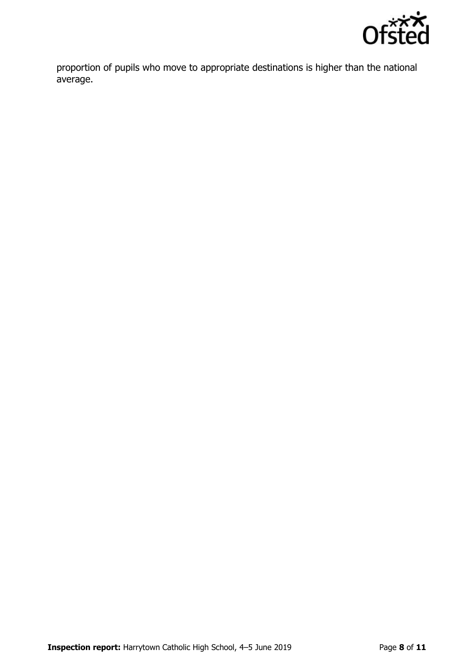

proportion of pupils who move to appropriate destinations is higher than the national average.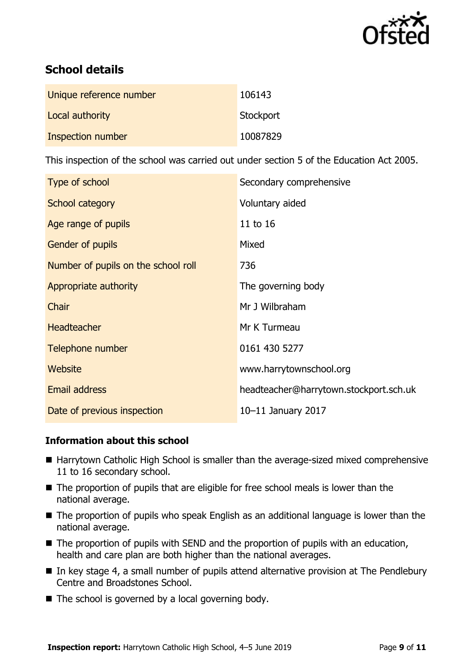

# **School details**

| Unique reference number | 106143    |
|-------------------------|-----------|
| Local authority         | Stockport |
| Inspection number       | 10087829  |

This inspection of the school was carried out under section 5 of the Education Act 2005.

| Type of school                      | Secondary comprehensive                |
|-------------------------------------|----------------------------------------|
| School category                     | Voluntary aided                        |
| Age range of pupils                 | 11 to 16                               |
| Gender of pupils                    | Mixed                                  |
| Number of pupils on the school roll | 736                                    |
| Appropriate authority               | The governing body                     |
| Chair                               | Mr J Wilbraham                         |
| <b>Headteacher</b>                  | Mr K Turmeau                           |
| Telephone number                    | 0161 430 5277                          |
| Website                             | www.harrytownschool.org                |
| Email address                       | headteacher@harrytown.stockport.sch.uk |
| Date of previous inspection         | 10-11 January 2017                     |

#### **Information about this school**

- Harrytown Catholic High School is smaller than the average-sized mixed comprehensive 11 to 16 secondary school.
- The proportion of pupils that are eligible for free school meals is lower than the national average.
- The proportion of pupils who speak English as an additional language is lower than the national average.
- $\blacksquare$  The proportion of pupils with SEND and the proportion of pupils with an education, health and care plan are both higher than the national averages.
- $\blacksquare$  In key stage 4, a small number of pupils attend alternative provision at The Pendlebury Centre and Broadstones School.
- $\blacksquare$  The school is governed by a local governing body.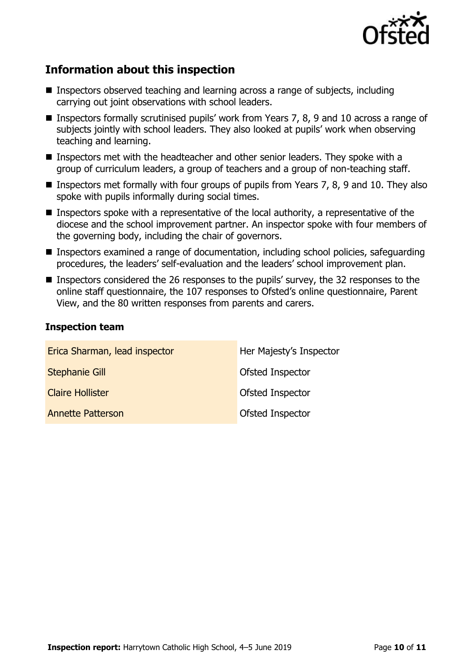

# **Information about this inspection**

- Inspectors observed teaching and learning across a range of subjects, including carrying out joint observations with school leaders.
- Inspectors formally scrutinised pupils' work from Years 7, 8, 9 and 10 across a range of subjects jointly with school leaders. They also looked at pupils' work when observing teaching and learning.
- Inspectors met with the headteacher and other senior leaders. They spoke with a group of curriculum leaders, a group of teachers and a group of non-teaching staff.
- **Inspectors met formally with four groups of pupils from Years 7, 8, 9 and 10. They also** spoke with pupils informally during social times.
- **Inspectors spoke with a representative of the local authority, a representative of the** diocese and the school improvement partner. An inspector spoke with four members of the governing body, including the chair of governors.
- Inspectors examined a range of documentation, including school policies, safeguarding procedures, the leaders' self-evaluation and the leaders' school improvement plan.
- Inspectors considered the 26 responses to the pupils' survey, the 32 responses to the online staff questionnaire, the 107 responses to Ofsted's online questionnaire, Parent View, and the 80 written responses from parents and carers.

#### **Inspection team**

| Erica Sharman, lead inspector | Her Majesty's Inspector |
|-------------------------------|-------------------------|
| <b>Stephanie Gill</b>         | Ofsted Inspector        |
| <b>Claire Hollister</b>       | Ofsted Inspector        |
| <b>Annette Patterson</b>      | Ofsted Inspector        |